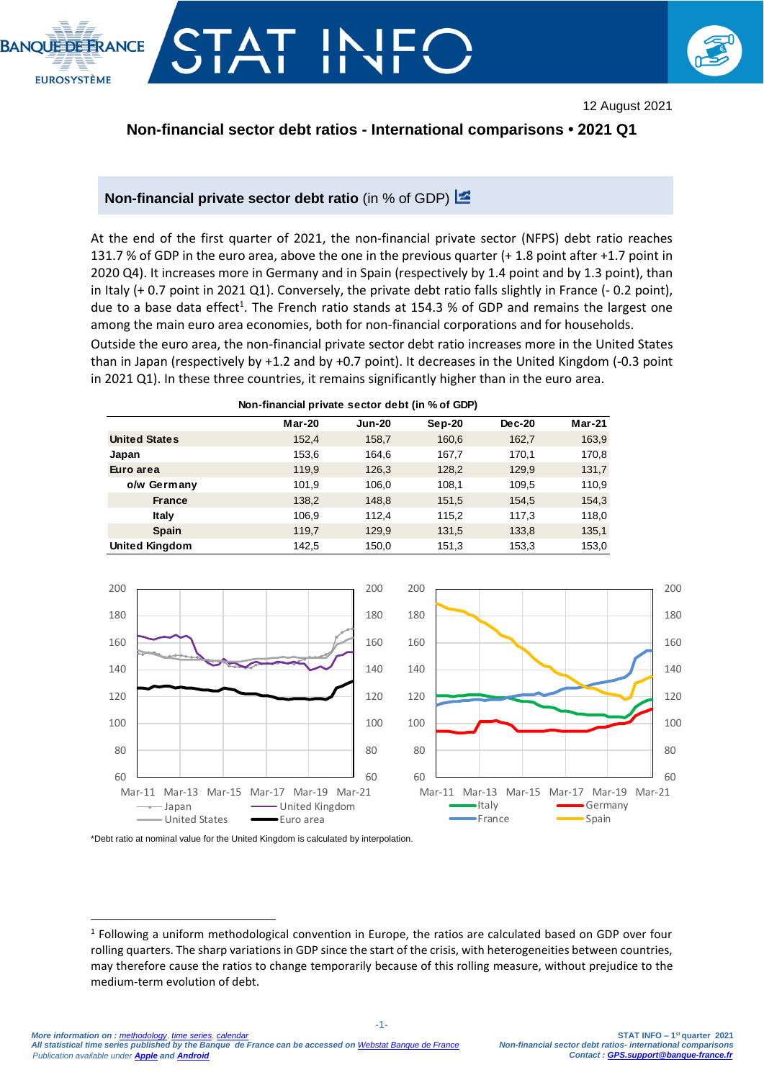



12 August 2021

## **Non-financial sector debt ratios - International comparisons • 2021 Q1**

#### **Non-financial private sector debt ratio** (in % of GDP)

At the end of the first quarter of 2021, the non-financial private sector (NFPS) debt ratio reaches 131.7 % of GDP in the euro area, above the one in the previous quarter (+ 1.8 point after +1.7 point in 2020 Q4). It increases more in Germany and in Spain (respectively by 1.4 point and by 1.3 point), than in Italy (+ 0.7 point in 2021 Q1). Conversely, the private debt ratio falls slightly in France (- 0.2 point), due to a base data effect<sup>1</sup>. The French ratio stands at 154.3 % of GDP and remains the largest one among the main euro area economies, both for non-financial corporations and for households.

Outside the euro area, the non-financial private sector debt ratio increases more in the United States than in Japan (respectively by +1.2 and by +0.7 point). It decreases in the United Kingdom (-0.3 point in 2021 Q1). In these three countries, it remains significantly higher than in the euro area.

| Non-financial private sector debt (in % of GDP) |  |  |  |
|-------------------------------------------------|--|--|--|
|                                                 |  |  |  |

|                       | <b>Mar-20</b> | <b>Jun-20</b> | $Sep-20$ | Dec-20 | $Mar-21$ |
|-----------------------|---------------|---------------|----------|--------|----------|
| <b>United States</b>  | 152,4         | 158,7         | 160,6    | 162,7  | 163,9    |
| Japan                 | 153,6         | 164.6         | 167,7    | 170,1  | 170,8    |
| Euro area             | 119,9         | 126,3         | 128,2    | 129,9  | 131,7    |
| o/w Germany           | 101,9         | 106,0         | 108,1    | 109,5  | 110,9    |
| <b>France</b>         | 138,2         | 148,8         | 151,5    | 154,5  | 154,3    |
| Italy                 | 106,9         | 112.4         | 115,2    | 117,3  | 118,0    |
| <b>Spain</b>          | 119,7         | 129.9         | 131,5    | 133,8  | 135,1    |
| <b>United Kingdom</b> | 142,5         | 150,0         | 151,3    | 153,3  | 153,0    |



\*Debt ratio at nominal value for the United Kingdom is calculated by interpolation.

-

<sup>&</sup>lt;sup>1</sup> Following a uniform methodological convention in Europe, the ratios are calculated based on GDP over four rolling quarters. The sharp variations in GDP since the start of the crisis, with heterogeneities between countries, may therefore cause the ratios to change temporarily because of this rolling measure, without prejudice to the medium-term evolution of debt.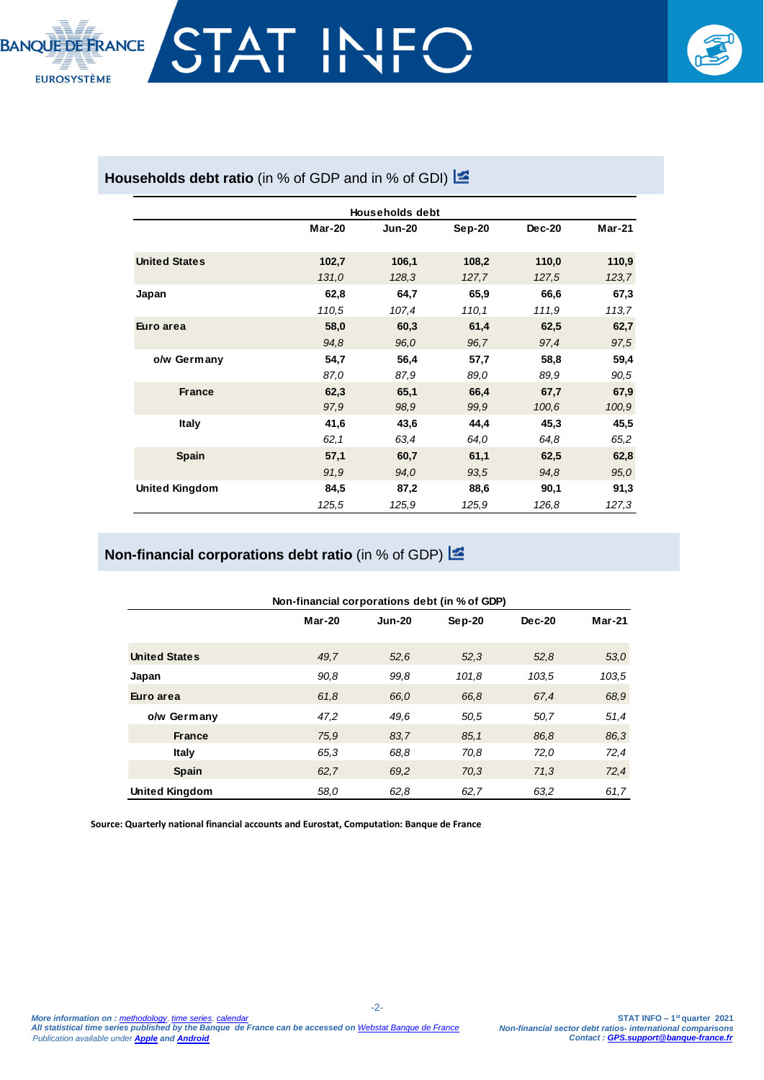

## Households debt ratio (in % of GDP and in % of GDI) **E**

|                       |               | <b>Households debt</b> |          |        |               |
|-----------------------|---------------|------------------------|----------|--------|---------------|
|                       | <b>Mar-20</b> | <b>Jun-20</b>          | $Sep-20$ | Dec-20 | <b>Mar-21</b> |
| <b>United States</b>  | 102,7         | 106,1                  | 108,2    | 110,0  | 110,9         |
|                       | 131,0         | 128,3                  | 127,7    | 127,5  | 123,7         |
| Japan                 | 62,8          | 64,7                   | 65,9     | 66,6   | 67,3          |
|                       | 110,5         | 107,4                  | 110.1    | 111,9  | 113,7         |
| Euro area             | 58,0          | 60,3                   | 61,4     | 62,5   | 62,7          |
|                       | 94,8          | 96,0                   | 96.7     | 97,4   | 97,5          |
| o/w Germany           | 54,7          | 56,4                   | 57,7     | 58,8   | 59,4          |
|                       | 87,0          | 87,9                   | 89,0     | 89,9   | 90,5          |
| <b>France</b>         | 62,3          | 65,1                   | 66,4     | 67,7   | 67,9          |
|                       | 97,9          | 98,9                   | 99,9     | 100,6  | 100,9         |
| <b>Italy</b>          | 41,6          | 43,6                   | 44,4     | 45,3   | 45,5          |
|                       | 62,1          | 63,4                   | 64,0     | 64,8   | 65,2          |
| <b>Spain</b>          | 57,1          | 60,7                   | 61,1     | 62,5   | 62,8          |
|                       | 91,9          | 94,0                   | 93,5     | 94.8   | 95,0          |
| <b>United Kingdom</b> | 84,5          | 87,2                   | 88,6     | 90,1   | 91,3          |
|                       | 125,5         | 125,9                  | 125,9    | 126,8  | 127,3         |

## **Non-financial corporations debt ratio** (in % of GDP)

|                       | Non-financial corporations debt (in % of GDP) |               |          |          |          |
|-----------------------|-----------------------------------------------|---------------|----------|----------|----------|
|                       | $Mar-20$                                      | <b>Jun-20</b> | $Sep-20$ | $Dec-20$ | $Mar-21$ |
| <b>United States</b>  | 49.7                                          | 52,6          | 52,3     | 52,8     | 53,0     |
| Japan                 | 90.8                                          | 99.8          | 101,8    | 103,5    | 103,5    |
| Euro area             | 61.8                                          | 66.0          | 66,8     | 67,4     | 68,9     |
| o/w Germany           | 47,2                                          | 49.6          | 50,5     | 50,7     | 51,4     |
| <b>France</b>         | 75.9                                          | 83.7          | 85.1     | 86,8     | 86,3     |
| <b>Italy</b>          | 65.3                                          | 68.8          | 70,8     | 72,0     | 72,4     |
| <b>Spain</b>          | 62.7                                          | 69.2          | 70,3     | 71,3     | 72,4     |
| <b>United Kingdom</b> | 58.0                                          | 62,8          | 62,7     | 63.2     | 61,7     |

-2-

**Source: Quarterly national financial accounts and Eurostat, Computation: Banque de France**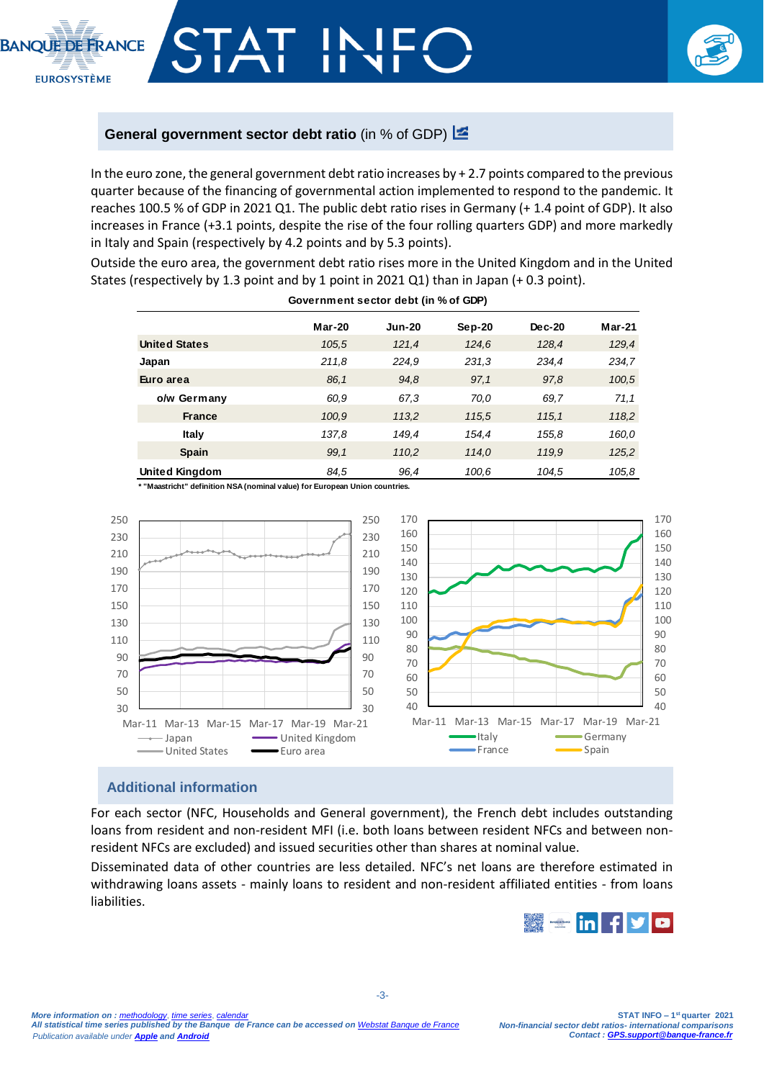

## **General government sector debt ratio** (in % of GDP)  $\frac{1}{2}$

In the euro zone, the general government debt ratio increases by + 2.7 points compared to the previous quarter because of the financing of governmental action implemented to respond to the pandemic. It reaches 100.5 % of GDP in 2021 Q1. The public debt ratio rises in Germany (+ 1.4 point of GDP). It also increases in France (+3.1 points, despite the rise of the four rolling quarters GDP) and more markedly in Italy and Spain (respectively by 4.2 points and by 5.3 points).

Outside the euro area, the government debt ratio rises more in the United Kingdom and in the United States (respectively by 1.3 point and by 1 point in 2021 Q1) than in Japan (+ 0.3 point).

**Government sector debt (in % of GDP)**

| Government sector debt (in %or GDF) |               |               |          |        |               |
|-------------------------------------|---------------|---------------|----------|--------|---------------|
|                                     | <b>Mar-20</b> | <b>Jun-20</b> | $Sep-20$ | Dec-20 | <b>Mar-21</b> |
| <b>United States</b>                | 105.5         | 121,4         | 124,6    | 128,4  | 129,4         |
| Japan                               | 211.8         | 224,9         | 231,3    | 234,4  | 234.7         |
| Euro area                           | 86.1          | 94,8          | 97.1     | 97,8   | 100,5         |
| o/w Germany                         | 60.9          | 67,3          | 70,0     | 69.7   | 71,1          |
| <b>France</b>                       | 100,9         | 113,2         | 115,5    | 115.1  | 118,2         |
| <b>Italy</b>                        | 137,8         | 149,4         | 154,4    | 155,8  | 160,0         |
| <b>Spain</b>                        | 99.1          | 110,2         | 114.0    | 119,9  | 125,2         |
| <b>United Kingdom</b>               | 84,5          | 96,4          | 100,6    | 104.5  | 105,8         |

**\* "Maastricht" definition NSA (nominal value) for European Union countries.**



## **Additional information**

For each sector (NFC, Households and General government), the French debt includes outstanding loans from resident and non-resident MFI (i.e. both loans between resident NFCs and between nonresident NFCs are excluded) and issued securities other than shares at nominal value.

Disseminated data of other countries are less detailed. NFC's net loans are therefore estimated in withdrawing loans assets - mainly loans to resident and non-resident affiliated entities - from loans liabilities.